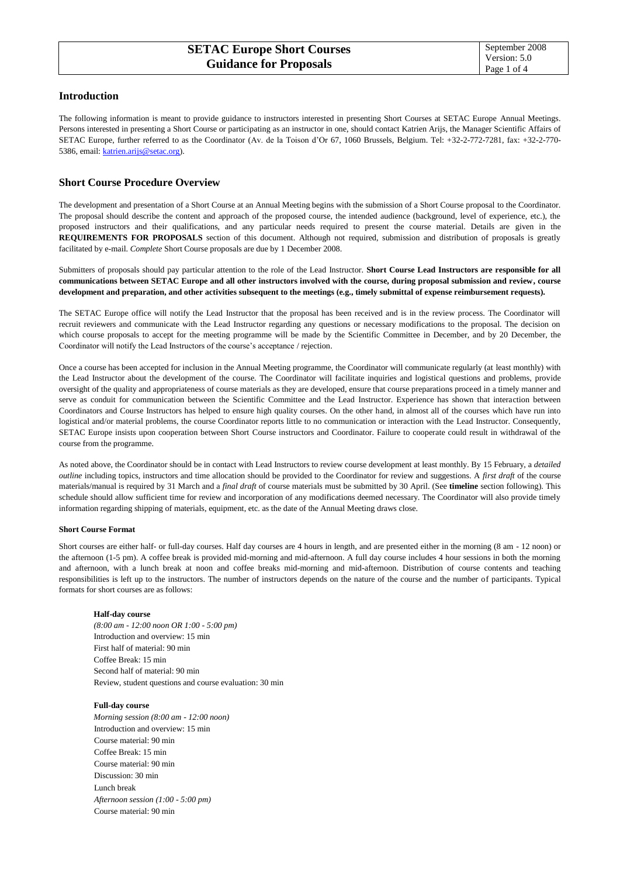# **Introduction**

The following information is meant to provide guidance to instructors interested in presenting Short Courses at SETAC Europe Annual Meetings. Persons interested in presenting a Short Course or participating as an instructor in one, should contact Katrien Arijs, the Manager Scientific Affairs of SETAC Europe, further referred to as the Coordinator (Av. de la Toison d'Or 67, 1060 Brussels, Belgium. Tel: +32-2-772-7281, fax: +32-2-770- 5386, email[: katrien.arijs@setac.org\)](mailto:katrien.arijs@setac.org).

# **Short Course Procedure Overview**

The development and presentation of a Short Course at an Annual Meeting begins with the submission of a Short Course proposal to the Coordinator. The proposal should describe the content and approach of the proposed course, the intended audience (background, level of experience, etc.), the proposed instructors and their qualifications, and any particular needs required to present the course material. Details are given in the **REQUIREMENTS FOR PROPOSALS** section of this document. Although not required, submission and distribution of proposals is greatly facilitated by e-mail. *Complete* Short Course proposals are due by 1 December 2008.

Submitters of proposals should pay particular attention to the role of the Lead Instructor. **Short Course Lead Instructors are responsible for all communications between SETAC Europe and all other instructors involved with the course, during proposal submission and review, course development and preparation, and other activities subsequent to the meetings (e.g., timely submittal of expense reimbursement requests).** 

The SETAC Europe office will notify the Lead Instructor that the proposal has been received and is in the review process. The Coordinator will recruit reviewers and communicate with the Lead Instructor regarding any questions or necessary modifications to the proposal. The decision on which course proposals to accept for the meeting programme will be made by the Scientific Committee in December, and by 20 December, the Coordinator will notify the Lead Instructors of the course's acceptance / rejection.

Once a course has been accepted for inclusion in the Annual Meeting programme, the Coordinator will communicate regularly (at least monthly) with the Lead Instructor about the development of the course. The Coordinator will facilitate inquiries and logistical questions and problems, provide oversight of the quality and appropriateness of course materials as they are developed, ensure that course preparations proceed in a timely manner and serve as conduit for communication between the Scientific Committee and the Lead Instructor. Experience has shown that interaction between Coordinators and Course Instructors has helped to ensure high quality courses. On the other hand, in almost all of the courses which have run into logistical and/or material problems, the course Coordinator reports little to no communication or interaction with the Lead Instructor. Consequently, SETAC Europe insists upon cooperation between Short Course instructors and Coordinator. Failure to cooperate could result in withdrawal of the course from the programme.

As noted above, the Coordinator should be in contact with Lead Instructors to review course development at least monthly. By 15 February, a *detailed outline* including topics, instructors and time allocation should be provided to the Coordinator for review and suggestions. A *first draft* of the course materials/manual is required by 31 March and a *final draft* of course materials must be submitted by 30 April. (See **timeline** section following). This schedule should allow sufficient time for review and incorporation of any modifications deemed necessary. The Coordinator will also provide timely information regarding shipping of materials, equipment, etc. as the date of the Annual Meeting draws close.

# **Short Course Format**

Short courses are either half- or full-day courses. Half day courses are 4 hours in length, and are presented either in the morning (8 am - 12 noon) or the afternoon (1-5 pm). A coffee break is provided mid-morning and mid-afternoon. A full day course includes 4 hour sessions in both the morning and afternoon, with a lunch break at noon and coffee breaks mid-morning and mid-afternoon. Distribution of course contents and teaching responsibilities is left up to the instructors. The number of instructors depends on the nature of the course and the number of participants. Typical formats for short courses are as follows:

# **Half-day course**

*(8:00 am - 12:00 noon OR 1:00 - 5:00 pm)* Introduction and overview: 15 min First half of material: 90 min Coffee Break: 15 min Second half of material: 90 min Review, student questions and course evaluation: 30 min

# **Full-day course**

*Morning session (8:00 am - 12:00 noon)*  Introduction and overview: 15 min Course material: 90 min Coffee Break: 15 min Course material: 90 min Discussion: 30 min Lunch break *Afternoon session (1:00 - 5:00 pm)*  Course material: 90 min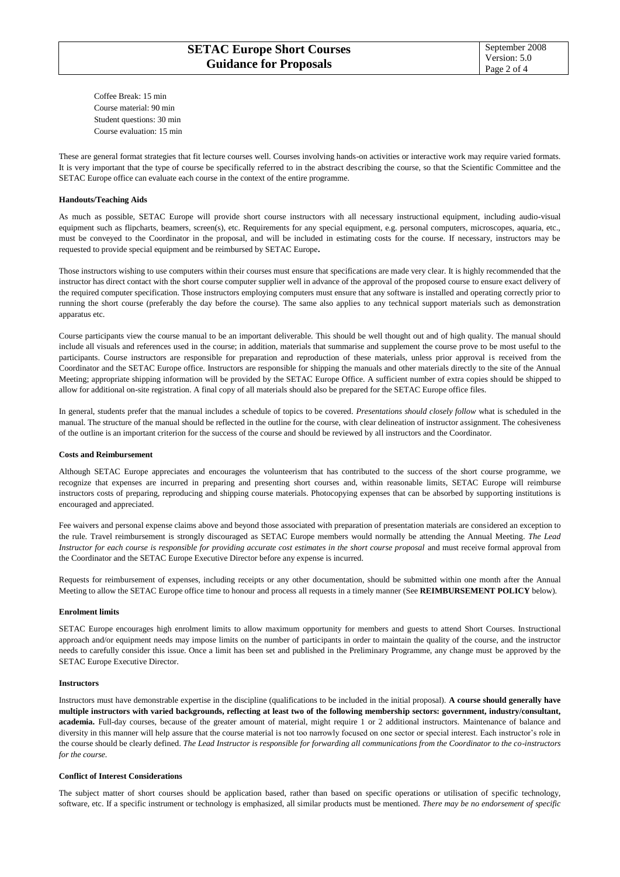Coffee Break: 15 min Course material: 90 min Student questions: 30 min Course evaluation: 15 min

These are general format strategies that fit lecture courses well. Courses involving hands-on activities or interactive work may require varied formats. It is very important that the type of course be specifically referred to in the abstract describing the course, so that the Scientific Committee and the SETAC Europe office can evaluate each course in the context of the entire programme.

#### **Handouts/Teaching Aids**

As much as possible, SETAC Europe will provide short course instructors with all necessary instructional equipment, including audio-visual equipment such as flipcharts, beamers, screen(s), etc. Requirements for any special equipment, e.g. personal computers, microscopes, aquaria, etc., must be conveyed to the Coordinator in the proposal, and will be included in estimating costs for the course. If necessary, instructors may be requested to provide special equipment and be reimbursed by SETAC Europe**.** 

Those instructors wishing to use computers within their courses must ensure that specifications are made very clear. It is highly recommended that the instructor has direct contact with the short course computer supplier well in advance of the approval of the proposed course to ensure exact delivery of the required computer specification. Those instructors employing computers must ensure that any software is installed and operating correctly prior to running the short course (preferably the day before the course). The same also applies to any technical support materials such as demonstration apparatus etc.

Course participants view the course manual to be an important deliverable. This should be well thought out and of high quality. The manual should include all visuals and references used in the course; in addition, materials that summarise and supplement the course prove to be most useful to the participants. Course instructors are responsible for preparation and reproduction of these materials, unless prior approval is received from the Coordinator and the SETAC Europe office. Instructors are responsible for shipping the manuals and other materials directly to the site of the Annual Meeting; appropriate shipping information will be provided by the SETAC Europe Office. A sufficient number of extra copies should be shipped to allow for additional on-site registration. A final copy of all materials should also be prepared for the SETAC Europe office files.

In general, students prefer that the manual includes a schedule of topics to be covered. *Presentations should closely follow* what is scheduled in the manual. The structure of the manual should be reflected in the outline for the course, with clear delineation of instructor assignment. The cohesiveness of the outline is an important criterion for the success of the course and should be reviewed by all instructors and the Coordinator.

# **Costs and Reimbursement**

Although SETAC Europe appreciates and encourages the volunteerism that has contributed to the success of the short course programme, we recognize that expenses are incurred in preparing and presenting short courses and, within reasonable limits, SETAC Europe will reimburse instructors costs of preparing, reproducing and shipping course materials. Photocopying expenses that can be absorbed by supporting institutions is encouraged and appreciated.

Fee waivers and personal expense claims above and beyond those associated with preparation of presentation materials are considered an exception to the rule. Travel reimbursement is strongly discouraged as SETAC Europe members would normally be attending the Annual Meeting. *The Lead Instructor for each course is responsible for providing accurate cost estimates in the short course proposal* and must receive formal approval from the Coordinator and the SETAC Europe Executive Director before any expense is incurred.

Requests for reimbursement of expenses, including receipts or any other documentation, should be submitted within one month after the Annual Meeting to allow the SETAC Europe office time to honour and process all requests in a timely manner (See **REIMBURSEMENT POLICY** below).

# **Enrolment limits**

SETAC Europe encourages high enrolment limits to allow maximum opportunity for members and guests to attend Short Courses. Instructional approach and/or equipment needs may impose limits on the number of participants in order to maintain the quality of the course, and the instructor needs to carefully consider this issue. Once a limit has been set and published in the Preliminary Programme, any change must be approved by the SETAC Europe Executive Director.

#### **Instructors**

Instructors must have demonstrable expertise in the discipline (qualifications to be included in the initial proposal). **A course should generally have multiple instructors with varied backgrounds, reflecting at least two of the following membership sectors: government, industry/consultant, academia.** Full-day courses, because of the greater amount of material, might require 1 or 2 additional instructors. Maintenance of balance and diversity in this manner will help assure that the course material is not too narrowly focused on one sector or special interest. Each instructor's role in the course should be clearly defined. *The Lead Instructor is responsible for forwarding all communications from the Coordinator to the co-instructors for the course.* 

# **Conflict of Interest Considerations**

The subject matter of short courses should be application based, rather than based on specific operations or utilisation of specific technology, software, etc. If a specific instrument or technology is emphasized, all similar products must be mentioned*. There may be no endorsement of specific*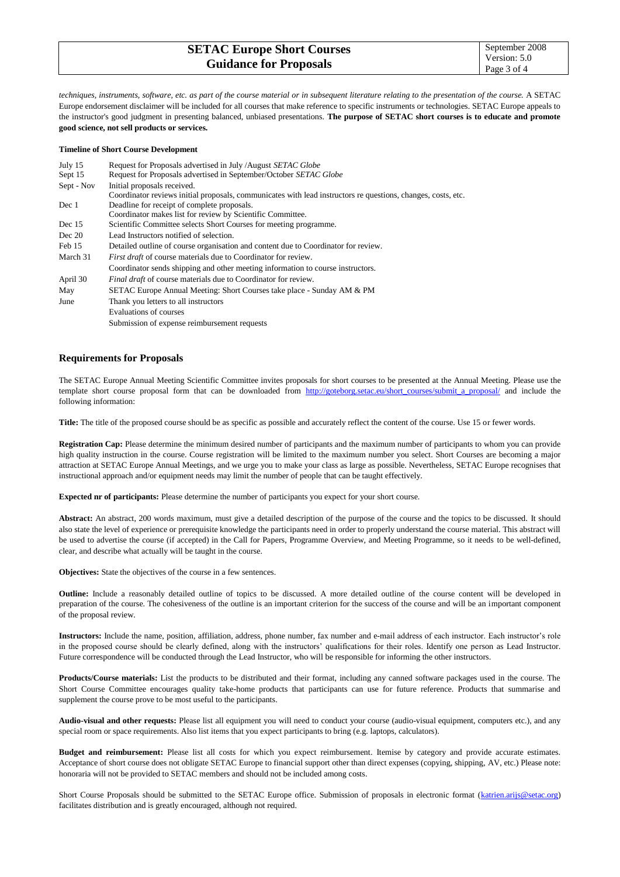| <b>SETAC Europe Short Courses</b> | September 2008              |
|-----------------------------------|-----------------------------|
| <b>Guidance for Proposals</b>     | Version: 5.0<br>Page 3 of 4 |
|                                   |                             |

*techniques, instruments, software, etc. as part of the course material or in subsequent literature relating to the presentation of the course.* A SETAC Europe endorsement disclaimer will be included for all courses that make reference to specific instruments or technologies. SETAC Europe appeals to the instructor's good judgment in presenting balanced, unbiased presentations. **The purpose of SETAC short courses is to educate and promote good science, not sell products or services.**

#### **Timeline of Short Course Development**

| July 15    | Request for Proposals advertised in July /August SETAC Globe                                                |
|------------|-------------------------------------------------------------------------------------------------------------|
| Sept 15    | Request for Proposals advertised in September/October SETAC Globe                                           |
| Sept - Nov | Initial proposals received.                                                                                 |
|            | Coordinator reviews initial proposals, communicates with lead instructors requestions, changes, costs, etc. |
| Dec 1      | Deadline for receipt of complete proposals.                                                                 |
|            | Coordinator makes list for review by Scientific Committee.                                                  |
| Dec 15     | Scientific Committee selects Short Courses for meeting programme.                                           |
| Dec 20     | Lead Instructors notified of selection.                                                                     |
| Feb 15     | Detailed outline of course organisation and content due to Coordinator for review.                          |
| March 31   | <i>First draft</i> of course materials due to Coordinator for review.                                       |
|            | Coordinator sends shipping and other meeting information to course instructors.                             |
| April 30   | <i>Final draft</i> of course materials due to Coordinator for review.                                       |
| May        | SETAC Europe Annual Meeting: Short Courses take place - Sunday AM & PM                                      |
| June       | Thank you letters to all instructors                                                                        |
|            | Evaluations of courses                                                                                      |
|            | Submission of expense reimbursement requests                                                                |

# **Requirements for Proposals**

The SETAC Europe Annual Meeting Scientific Committee invites proposals for short courses to be presented at the Annual Meeting. Please use the template short course proposal form that can be downloaded from [http://goteborg.setac.eu/short\\_courses/submit\\_a\\_proposal/](http://goteborg.setac.eu/short_courses/submit_a_proposal/) and include the following information:

**Title:** The title of the proposed course should be as specific as possible and accurately reflect the content of the course. Use 15 or fewer words.

**Registration Cap:** Please determine the minimum desired number of participants and the maximum number of participants to whom you can provide high quality instruction in the course. Course registration will be limited to the maximum number you select. Short Courses are becoming a major attraction at SETAC Europe Annual Meetings, and we urge you to make your class as large as possible. Nevertheless, SETAC Europe recognises that instructional approach and/or equipment needs may limit the number of people that can be taught effectively.

**Expected nr of participants:** Please determine the number of participants you expect for your short course.

**Abstract:** An abstract, 200 words maximum, must give a detailed description of the purpose of the course and the topics to be discussed. It should also state the level of experience or prerequisite knowledge the participants need in order to properly understand the course material. This abstract will be used to advertise the course (if accepted) in the Call for Papers, Programme Overview, and Meeting Programme, so it needs to be well-defined, clear, and describe what actually will be taught in the course.

**Objectives:** State the objectives of the course in a few sentences.

**Outline:** Include a reasonably detailed outline of topics to be discussed. A more detailed outline of the course content will be developed in preparation of the course. The cohesiveness of the outline is an important criterion for the success of the course and will be an important component of the proposal review.

**Instructors:** Include the name, position, affiliation, address, phone number, fax number and e-mail address of each instructor. Each instructor's role in the proposed course should be clearly defined, along with the instructors' qualifications for their roles. Identify one person as Lead Instructor. Future correspondence will be conducted through the Lead Instructor, who will be responsible for informing the other instructors.

**Products/Course materials:** List the products to be distributed and their format, including any canned software packages used in the course. The Short Course Committee encourages quality take-home products that participants can use for future reference. Products that summarise and supplement the course prove to be most useful to the participants.

**Audio-visual and other requests:** Please list all equipment you will need to conduct your course (audio-visual equipment, computers etc.), and any special room or space requirements. Also list items that you expect participants to bring (e.g. laptops, calculators).

**Budget and reimbursement:** Please list all costs for which you expect reimbursement. Itemise by category and provide accurate estimates. Acceptance of short course does not obligate SETAC Europe to financial support other than direct expenses (copying, shipping, AV, etc.) Please note: honoraria will not be provided to SETAC members and should not be included among costs.

Short Course Proposals should be submitted to the SETAC Europe office. Submission of proposals in electronic format [\(katrien.arijs@setac.org\)](mailto:katrien.arijs@setac.org) facilitates distribution and is greatly encouraged, although not required.